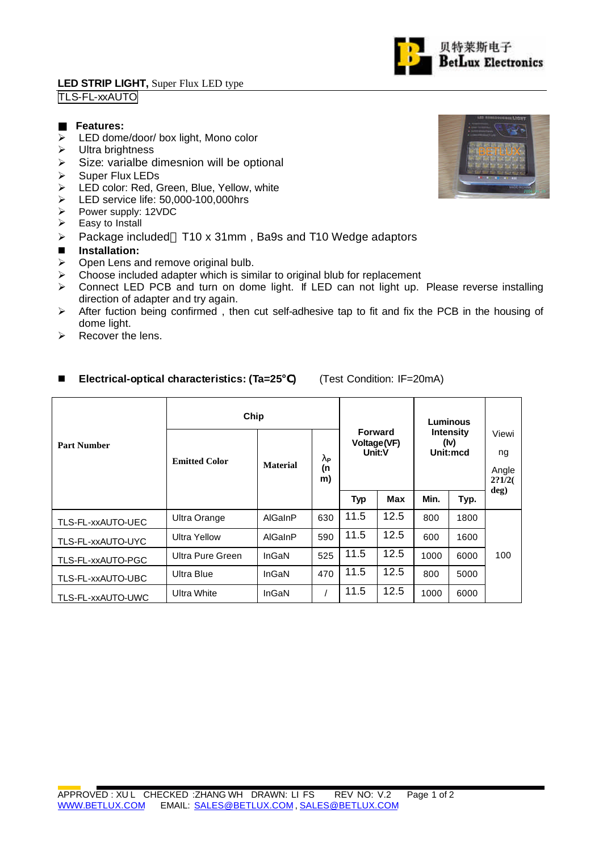### **LED STRIP LIGHT,** Super Flux LED type TLS-FL-xxAUTO

### **Features:**

- $\triangleright$  LED dome/door/ box light, Mono color
- $\triangleright$  Ultra brightness
- $\triangleright$  Size: varialbe dimesnion will be optional
- $\triangleright$  Super Flux LEDs
- ▶ LED color: Red, Green, Blue, Yellow, white
- ED service life: 50,000-100,000hrs<br>
Power supply: 12VDC
- $\triangleright$  Power supply: 12VDC<br> $\triangleright$  Easy to Install
- Easy to Install
- $\triangleright$  Package included T10 x 31mm, Ba9s and T10 Wedge adaptors

# **n** Installation:

- $\triangleright$  Open Lens and remove original bulb.
- $\triangleright$  Choose included adapter which is similar to original blub for replacement
- ▶ Connect LED PCB and turn on dome light. If LED can not light up. Please reverse installing direction of adapter and try again.
- $\triangleright$  After fuction being confirmed, then cut self-adhesive tap to fit and fix the PCB in the housing of dome light.
- $\triangleright$  Recover the lens.

#### **Chip Forward Voltage(VF) Unit:V Luminous Intensity (Iv) Unit:mcd Part Number Emitted Color Material lP (n m) Typ Max Min. Typ.** Viewi ng Angle **2?1/2( deg)** TLS-FL-xxAUTO-UEC Ultra Orange AlGaInP 630 11.5 12.5 800 1800 TLS-FL-xxAUTO-UYC Ultra Yellow AlGaInP <sup>590</sup> 11.5 12.5 <sup>600</sup> <sup>1600</sup> TLS-FL-xxAUTO-PGC Ultra Pure Green InGaN 525 11.5 12.5 1000 6000 TLS-FL-xxAUTO-UBC Ultra Blue | InGaN | 470 | 11.5 | 12.5 | 800 | 5000 TLS-FL-xxAUTO-UWC Ultra White | InGaN | / | 11.5 | 12.5 | 1000 | 6000 100

# n **Electrical-optical characteristics: (Ta=25 )** (Test Condition: IF=20mA)